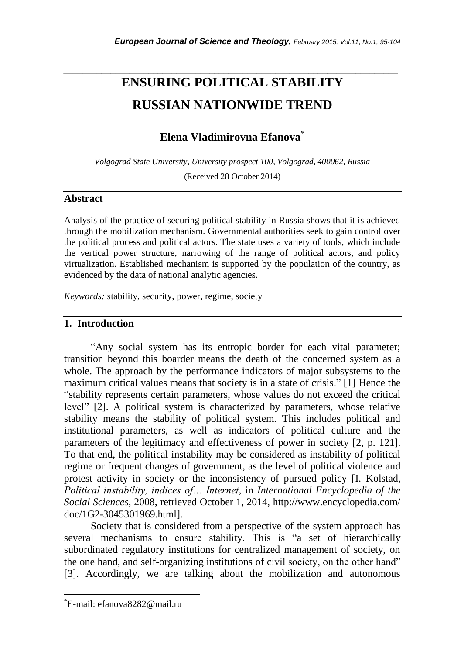# **ENSURING POLITICAL STABILITY RUSSIAN NATIONWIDE TREND**

*\_\_\_\_\_\_\_\_\_\_\_\_\_\_\_\_\_\_\_\_\_\_\_\_\_\_\_\_\_\_\_\_\_\_\_\_\_\_\_\_\_\_\_\_\_\_\_\_\_\_\_\_\_\_\_\_\_\_\_\_\_\_\_\_\_\_\_\_\_\_\_*

# **Elena Vladimirovna Efanova**\*

*Volgograd State University, University prospect 100, Volgograd, 400062, Russia*

(Received 28 October 2014)

#### **Abstract**

Analysis of the practice of securing political stability in Russia shows that it is achieved through the mobilization mechanism. Governmental authorities seek to gain control over the political process and political actors. The state uses a variety of tools, which include the vertical power structure, narrowing of the range of political actors, and policy virtualization. Established mechanism is supported by the population of the country, as evidenced by the data of national analytic agencies.

*Keywords:* stability, security, power, regime, society

#### **1. Introduction**

"Any social system has its entropic border for each vital parameter; transition beyond this boarder means the death of the concerned system as a whole. The approach by the performance indicators of major subsystems to the maximum critical values means that society is in a state of crisis." [1] Hence the "stability represents certain parameters, whose values do not exceed the critical level" [2]. A political system is characterized by parameters, whose relative stability means the stability of political system. This includes political and institutional parameters, as well as indicators of political culture and the parameters of the legitimacy and effectiveness of power in society [2, p. 121]. To that end, the political instability may be considered as instability of political regime or frequent changes of government, as the level of political violence and protest activity in society or the inconsistency of pursued policy [I. Kolstad, *Political instability, indices of… Internet*, in *International Encyclopedia of the Social Sciences*, 2008, retrieved October 1, 2014, http://www.encyclopedia.com/ doc/1G2-3045301969.html].

Society that is considered from a perspective of the system approach has several mechanisms to ensure stability. This is "a set of hierarchically subordinated regulatory institutions for centralized management of society, on the one hand, and self-organizing institutions of civil society, on the other hand" [3]. Accordingly, we are talking about the mobilization and autonomous

l

<sup>\*</sup>E-mail: efanova8282@mail.ru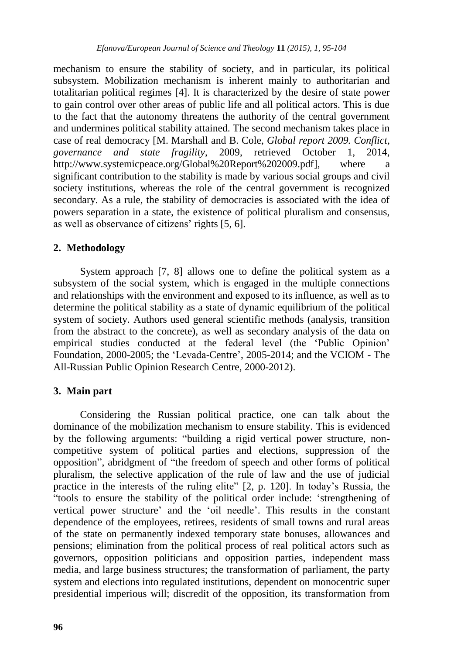mechanism to ensure the stability of society, and in particular, its political subsystem. Mobilization mechanism is inherent mainly to authoritarian and totalitarian political regimes [4]. It is characterized by the desire of state power to gain control over other areas of public life and all political actors. This is due to the fact that the autonomy threatens the authority of the central government and undermines political stability attained. The second mechanism takes place in case of real democracy [M. Marshall and B. Cole, *Global report 2009. Conflict, governance and state fragility*, 2009, retrieved October 1, 2014, [http://www.systemicpeace.org/Global%20R](http://www.systemicpeace.org/Global)eport%202009.pdf], where a significant contribution to the stability is made by various social groups and civil society institutions, whereas the role of the central government is recognized secondary. As a rule, the stability of democracies is associated with the idea of powers separation in a state, the existence of political pluralism and consensus, as well as observance of citizens' rights [5, 6].

### **2. Methodology**

System approach [7, 8] allows one to define the political system as a subsystem of the social system, which is engaged in the multiple connections and relationships with the environment and exposed to its influence, as well as to determine the political stability as a state of dynamic equilibrium of the political system of society. Authors used general scientific methods (analysis, transition from the abstract to the concrete), as well as secondary analysis of the data on empirical studies conducted at the federal level (the "Public Opinion" Foundation, 2000-2005; the "Levada-Centre", 2005-2014; and the VCIOM - The All-Russian Public Opinion Research Centre, 2000-2012).

#### **3. Main part**

Considering the Russian political practice, one can talk about the dominance of the mobilization mechanism to ensure stability. This is evidenced by the following arguments: "building a rigid vertical power structure, noncompetitive system of political parties and elections, suppression of the opposition", abridgment of "the freedom of speech and other forms of political pluralism, the selective application of the rule of law and the use of judicial practice in the interests of the ruling elite" [2, p. 120]. In today"s Russia, the "tools to ensure the stability of the political order include: "strengthening of vertical power structure' and the 'oil needle'. This results in the constant dependence of the employees, retirees, residents of small towns and rural areas of the state on permanently indexed temporary state bonuses, allowances and pensions; elimination from the political process of real political actors such as governors, opposition politicians and opposition parties, independent mass media, and large business structures; the transformation of parliament, the party system and elections into regulated institutions, dependent on monocentric super presidential imperious will; discredit of the opposition, its transformation from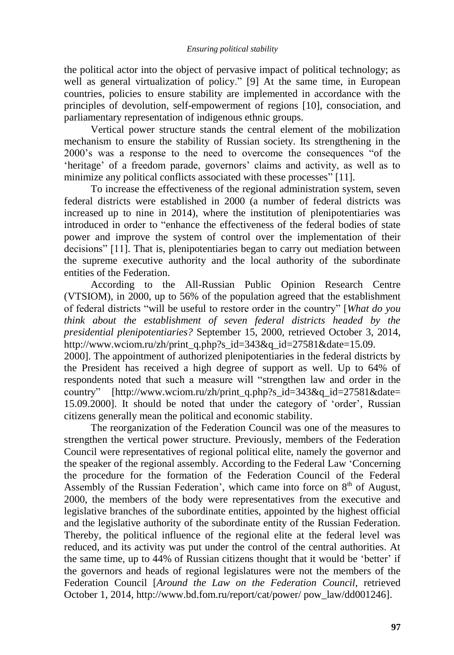the political actor into the object of pervasive impact of political technology; as well as general virtualization of policy." [9] At the same time, in European countries, policies to ensure stability are implemented in accordance with the principles of devolution, self-empowerment of regions [10], consociation, and parliamentary representation of indigenous ethnic groups.

Vertical power structure stands the central element of the mobilization mechanism to ensure the stability of Russian society. Its strengthening in the 2000"s was a response to the need to overcome the consequences "of the 'heritage' of a freedom parade, governors' claims and activity, as well as to minimize any political conflicts associated with these processes" [11].

To increase the effectiveness of the regional administration system, seven federal districts were established in 2000 (a number of federal districts was increased up to nine in 2014), where the institution of plenipotentiaries was introduced in order to "enhance the effectiveness of the federal bodies of state power and improve the system of control over the implementation of their decisions" [11]. That is, plenipotentiaries began to carry out mediation between the supreme executive authority and the local authority of the subordinate entities of the Federation.

According to the All-Russian Public Opinion Research Centre (VTSIOM), in 2000, up to 56% of the population agreed that the establishment of federal districts "will be useful to restore order in the country" [*What do you think about the establishment of seven federal districts headed by the presidential plenipotentiaries?* September 15, 2000, retrieved October 3, 2014, http://www.wciom.ru/zh/print\_q.php?s\_id=343&q\_id=27581&date=15.09.

2000]. The appointment of authorized plenipotentiaries in the federal districts by the President has received a high degree of support as well. Up to 64% of respondents noted that such a measure will "strengthen law and order in the country" [http://www.wciom.ru/zh/print\_q.php?s\_id=343&q\_id=27581&date= 15.09.2000]. It should be noted that under the category of "order", Russian citizens generally mean the political and economic stability.

The reorganization of the Federation Council was one of the measures to strengthen the vertical power structure. Previously, members of the Federation Council were representatives of regional political elite, namely the governor and the speaker of the regional assembly. According to the Federal Law "Concerning the procedure for the formation of the Federation Council of the Federal Assembly of the Russian Federation', which came into force on  $8<sup>th</sup>$  of August, 2000, the members of the body were representatives from the executive and legislative branches of the subordinate entities, appointed by the highest official and the legislative authority of the subordinate entity of the Russian Federation. Thereby, the political influence of the regional elite at the federal level was reduced, and its activity was put under the control of the central authorities. At the same time, up to 44% of Russian citizens thought that it would be 'better' if the governors and heads of regional legislatures were not the members of the Federation Council [*Around the Law on the Federation Council*, retrieved October 1, 2014, http://www.bd.fom.ru/report/cat/power/ pow\_law/dd001246].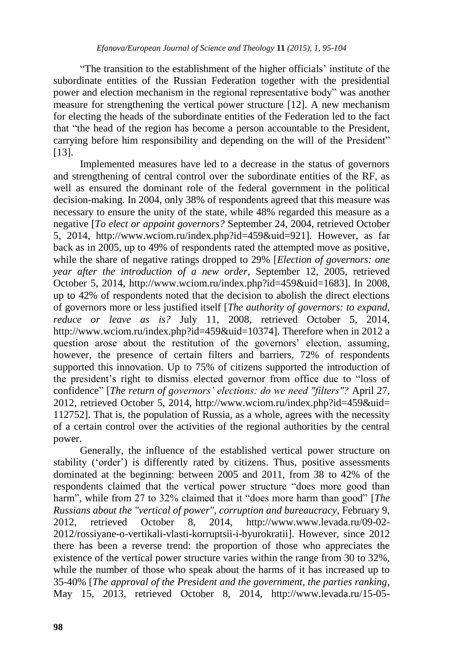"The transition to the establishment of the higher officials" institute of the subordinate entities of the Russian Federation together with the presidential power and election mechanism in the regional representative body" was another measure for strengthening the vertical power structure [12]. A new mechanism for electing the heads of the subordinate entities of the Federation led to the fact that "the head of the region has become a person accountable to the President, carrying before him responsibility and depending on the will of the President" [13].

Implemented measures have led to a decrease in the status of governors and strengthening of central control over the subordinate entities of the RF, as well as ensured the dominant role of the federal government in the political decision-making. In 2004, only 38% of respondents agreed that this measure was necessary to ensure the unity of the state, while 48% regarded this measure as a negative [*To elect or appoint governors?* September 24, 2004, retrieved October 5, 2014, http:/[/www.wciom.ru/index.php?id=459&uid=921\]](http://www.wciom.ru/index.php?id=459&uid=921). However, as far back as in 2005, up to 49% of respondents rated the attempted move as positive, while the share of negative ratings dropped to 29% [*Election of governors: one year after the introduction of a new order*, September 12, 2005, retrieved October 5, 2014, http://www.wciom.ru/index.php?id=459&uid=1683]. In 2008, up to 42% of respondents noted that the decision to abolish the direct elections of governors more or less justified itself [*The authority of governors: to expand, reduce or leave as is?* July 11, 2008, retrieved October 5, 2014, http://www.wciom.ru/index.php?id=459&uid=10374]. Therefore when in 2012 a question arose about the restitution of the governors' election, assuming, however, the presence of certain filters and barriers, 72% of respondents supported this innovation. Up to 75% of citizens supported the introduction of the president"s right to dismiss elected governor from office due to "loss of confidence" [*The return of governors' elections: do we need "filters"?* April 27, 2012, retrieved October 5, 2014, http://www.wciom.ru/index.php?id=459&uid= 112752]. That is, the population of Russia, as a whole, agrees with the necessity of a certain control over the activities of the regional authorities by the central power.

Generally, the influence of the established vertical power structure on stability ('order') is differently rated by citizens. Thus, positive assessments dominated at the beginning: between 2005 and 2011, from 38 to 42% of the respondents claimed that the vertical power structure "does more good than harm", while from 27 to 32% claimed that it "does more harm than good" [*The Russians about the "vertical of power", corruption and bureaucracy*, February 9, 2012, retrieved October 8, 2014, http://www.www.levada.ru/09-02- 2012/rossiyane-o-vertikali-vlasti-korruptsii-i-byurokratii]. However, since 2012 there has been a reverse trend: the proportion of those who appreciates the existence of the vertical power structure varies within the range from 30 to 32%, while the number of those who speak about the harms of it has increased up to 35-40% [*The approval of the President and the government, the parties ranking*, May 15, 2013, retrieved October 8, 2014, http://www.levada.ru/15-05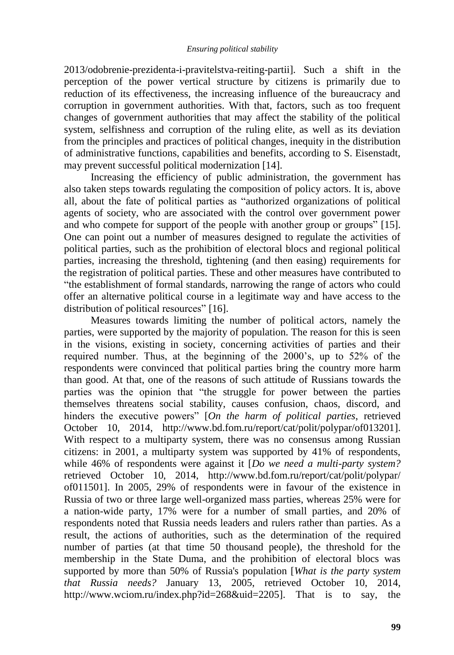2013/odobrenie-prezidenta-i-pravitelstva-reiting-partii]. Such a shift in the perception of the power vertical structure by citizens is primarily due to reduction of its effectiveness, the increasing influence of the bureaucracy and corruption in government authorities. With that, factors, such as too frequent changes of government authorities that may affect the stability of the political system, selfishness and corruption of the ruling elite, as well as its deviation from the principles and practices of political changes, inequity in the distribution of administrative functions, capabilities and benefits, according to S. Eisenstadt, may prevent successful political modernization [14].

Increasing the efficiency of public administration, the government has also taken steps towards regulating the composition of policy actors. It is, above all, about the fate of political parties as "authorized organizations of political agents of society, who are associated with the control over government power and who compete for support of the people with another group or groups" [15]. One can point out a number of measures designed to regulate the activities of political parties, such as the prohibition of electoral blocs and regional political parties, increasing the threshold, tightening (and then easing) requirements for the registration of political parties. These and other measures have contributed to "the establishment of formal standards, narrowing the range of actors who could offer an alternative political course in a legitimate way and have access to the distribution of political resources" [16].

Measures towards limiting the number of political actors, namely the parties, were supported by the majority of population. The reason for this is seen in the visions, existing in society, concerning activities of parties and their required number. Thus, at the beginning of the 2000"s, up to 52% of the respondents were convinced that political parties bring the country more harm than good. At that, one of the reasons of such attitude of Russians towards the parties was the opinion that "the struggle for power between the parties themselves threatens social stability, causes confusion, chaos, discord, and hinders the executive powers" [*On the harm of political parties*, retrieved October 10, 2014, http://www.bd.fom.ru/report/cat/polit/polypar/of013201]. With respect to a multiparty system, there was no consensus among Russian citizens: in 2001, a multiparty system was supported by 41% of respondents, while 46% of respondents were against it [*Do we need a multi-party system?* retrieved October 10, 2014, http://www.bd.fom.ru/report/cat/polit/polypar/ of011501]. In 2005, 29% of respondents were in favour of the existence in Russia of two or three large well-organized mass parties, whereas 25% were for a nation-wide party, 17% were for a number of small parties, and 20% of respondents noted that Russia needs leaders and rulers rather than parties. As a result, the actions of authorities, such as the determination of the required number of parties (at that time 50 thousand people), the threshold for the membership in the State Duma, and the prohibition of electoral blocs was supported by more than 50% of Russia's population [*What is the party system that Russia needs?* January 13, 2005, retrieved October 10, 2014, http://www.wciom.ru/index.php?id=268&uid=2205]. That is to say, the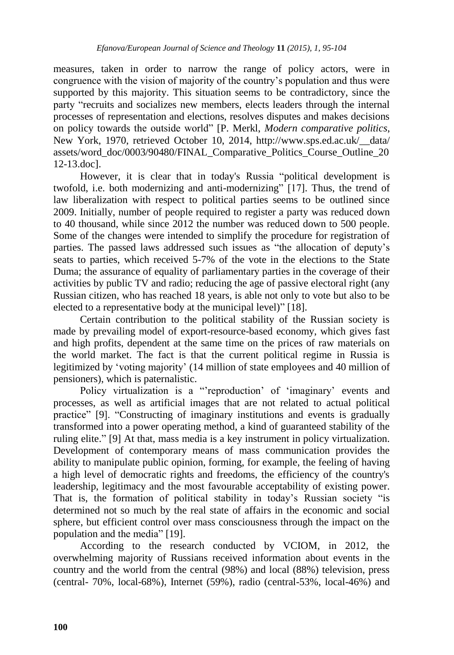measures, taken in order to narrow the range of policy actors, were in congruence with the vision of majority of the country"s population and thus were supported by this majority. This situation seems to be contradictory, since the party "recruits and socializes new members, elects leaders through the internal processes of representation and elections, resolves disputes and makes decisions on policy towards the outside world" [P. Merkl, *Modern comparative politics*, New York, 1970, retrieved October 10, 2014, http://www.sps.ed.ac.uk/\_\_data/ assets/word\_doc/0003/90480/FINAL\_Comparative\_Politics\_Course\_Outline\_20 12-13.doc].

However, it is clear that in today's Russia "political development is twofold, i.e. both modernizing and anti-modernizing" [17]. Thus, the trend of law liberalization with respect to political parties seems to be outlined since 2009. Initially, number of people required to register a party was reduced down to 40 thousand, while since 2012 the number was reduced down to 500 people. Some of the changes were intended to simplify the procedure for registration of parties. The passed laws addressed such issues as "the allocation of deputy"s seats to parties, which received 5-7% of the vote in the elections to the State Duma; the assurance of equality of parliamentary parties in the coverage of their activities by public TV and radio; reducing the age of passive electoral right (any Russian citizen, who has reached 18 years, is able not only to vote but also to be elected to a representative body at the municipal level)" [18].

Certain contribution to the political stability of the Russian society is made by prevailing model of export-resource-based economy, which gives fast and high profits, dependent at the same time on the prices of raw materials on the world market. The fact is that the current political regime in Russia is legitimized by 'voting majority' (14 million of state employees and 40 million of pensioners), which is paternalistic.

Policy virtualization is a "reproduction' of 'imaginary' events and processes, as well as artificial images that are not related to actual political practice" [9]. "Constructing of imaginary institutions and events is gradually transformed into a power operating method, a kind of guaranteed stability of the ruling elite." [9] At that, mass media is a key instrument in policy virtualization. Development of contemporary means of mass communication provides the ability to manipulate public opinion, forming, for example, the feeling of having a high level of democratic rights and freedoms, the efficiency of the country's leadership, legitimacy and the most favourable acceptability of existing power. That is, the formation of political stability in today's Russian society "is determined not so much by the real state of affairs in the economic and social sphere, but efficient control over mass consciousness through the impact on the population and the media" [19].

According to the research conducted by VCIOM, in 2012, the overwhelming majority of Russians received information about events in the country and the world from the central (98%) and local (88%) television, press (central- 70%, local-68%), Internet (59%), radio (central-53%, local-46%) and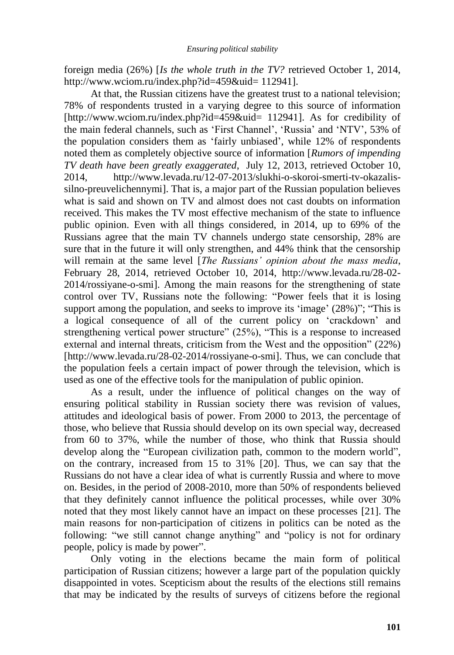foreign media (26%) [*Is the whole truth in the TV?* retrieved October 1, 2014, http://www.wciom.ru/index.php?id=459&uid= 112941].

At that, the Russian citizens have the greatest trust to a national television; 78% of respondents trusted in a varying degree to this source of information [http://www.wciom.ru/index.php?id=459&uid= 112941]. As for credibility of the main federal channels, such as "First Channel", "Russia" and "NTV", 53% of the population considers them as "fairly unbiased", while 12% of respondents noted them as completely objective source of information [*Rumors of impending TV death have been greatly exaggerated*, July 12, 2013, retrieved October 10, 2014, http://www.levada.ru/12-07-2013/slukhi-o-skoroi-smerti-tv-okazalissilno-preuvelichennymi]. That is, a major part of the Russian population believes what is said and shown on TV and almost does not cast doubts on information received. This makes the TV most effective mechanism of the state to influence public opinion. Even with all things considered, in 2014, up to 69% of the Russians agree that the main TV channels undergo state censorship, 28% are sure that in the future it will only strengthen, and 44% think that the censorship will remain at the same level [*The Russians' opinion about the mass media*, February 28, 2014, retrieved October 10, 2014, http://www.levada.ru/28-02- 2014/rossiyane-o-smi]. Among the main reasons for the strengthening of state control over TV, Russians note the following: "Power feels that it is losing support among the population, and seeks to improve its 'image' (28%)"; "This is a logical consequence of all of the current policy on "crackdown" and strengthening vertical power structure" (25%), "This is a response to increased external and internal threats, criticism from the West and the opposition" (22%) [http://www.levada.ru/28-02-2014/rossiyane-o-smi]. Thus, we can conclude that the population feels a certain impact of power through the television, which is used as one of the effective tools for the manipulation of public opinion.

As a result, under the influence of political changes on the way of ensuring political stability in Russian society there was revision of values, attitudes and ideological basis of power. From 2000 to 2013, the percentage of those, who believe that Russia should develop on its own special way, decreased from 60 to 37%, while the number of those, who think that Russia should develop along the "European civilization path, common to the modern world", on the contrary, increased from 15 to 31% [20]. Thus, we can say that the Russians do not have a clear idea of what is currently Russia and where to move on. Besides, in the period of 2008-2010, more than 50% of respondents believed that they definitely cannot influence the political processes, while over 30% noted that they most likely cannot have an impact on these processes [21]. The main reasons for non-participation of citizens in politics can be noted as the following: "we still cannot change anything" and "policy is not for ordinary people, policy is made by power".

Only voting in the elections became the main form of political participation of Russian citizens; however a large part of the population quickly disappointed in votes. Scepticism about the results of the elections still remains that may be indicated by the results of surveys of citizens before the regional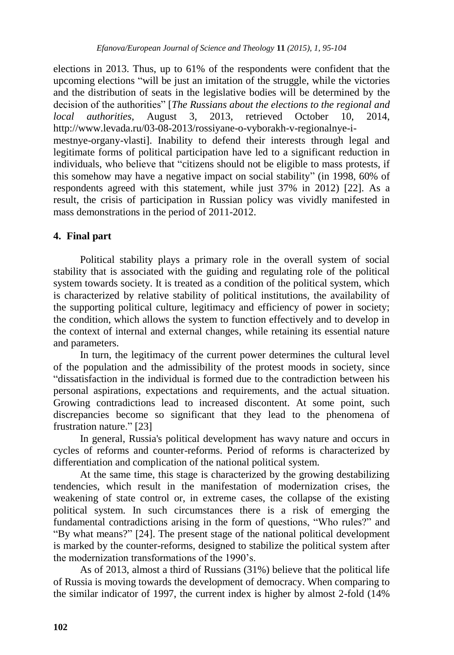elections in 2013. Thus, up to 61% of the respondents were confident that the upcoming elections "will be just an imitation of the struggle, while the victories and the distribution of seats in the legislative bodies will be determined by the decision of the authorities" [*The Russians about the elections to the regional and local authorities*, August 3, 2013, retrieved October 10, 2014, http://www.levada.ru/03-08-2013/rossiyane-o-vyborakh-v-regionalnye-i-

mestnye-organy-vlasti]. Inability to defend their interests through legal and legitimate forms of political participation have led to a significant reduction in individuals, who believe that "citizens should not be eligible to mass protests, if this somehow may have a negative impact on social stability" (in 1998, 60% of respondents agreed with this statement, while just 37% in 2012) [22]. As a result, the crisis of participation in Russian policy was vividly manifested in mass demonstrations in the period of 2011-2012.

## **4. Final part**

Political stability plays a primary role in the overall system of social stability that is associated with the guiding and regulating role of the political system towards society. It is treated as a condition of the political system, which is characterized by relative stability of political institutions, the availability of the supporting political culture, legitimacy and efficiency of power in society; the condition, which allows the system to function effectively and to develop in the context of internal and external changes, while retaining its essential nature and parameters.

In turn, the legitimacy of the current power determines the cultural level of the population and the admissibility of the protest moods in society, since "dissatisfaction in the individual is formed due to the contradiction between his personal aspirations, expectations and requirements, and the actual situation. Growing contradictions lead to increased discontent. At some point, such discrepancies become so significant that they lead to the phenomena of frustration nature." [23]

In general, Russia's political development has wavy nature and occurs in cycles of reforms and counter-reforms. Period of reforms is characterized by differentiation and complication of the national political system.

At the same time, this stage is characterized by the growing destabilizing tendencies, which result in the manifestation of modernization crises, the weakening of state control or, in extreme cases, the collapse of the existing political system. In such circumstances there is a risk of emerging the fundamental contradictions arising in the form of questions, "Who rules?" and "By what means?" [24]. The present stage of the national political development is marked by the counter-reforms, designed to stabilize the political system after the modernization transformations of the 1990"s.

As of 2013, almost a third of Russians (31%) believe that the political life of Russia is moving towards the development of democracy. When comparing to the similar indicator of 1997, the current index is higher by almost 2-fold (14%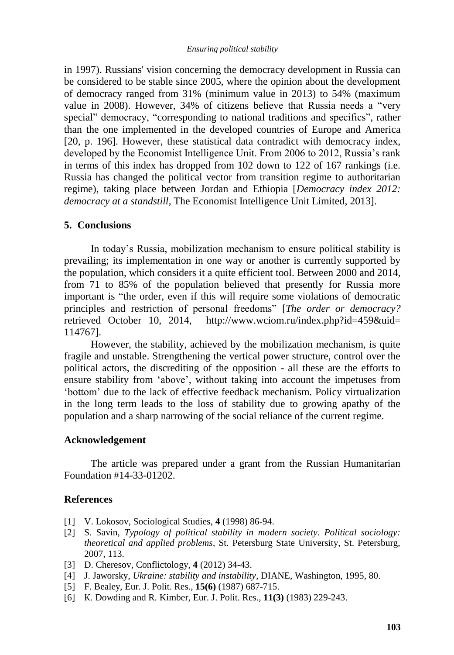in 1997). Russians' vision concerning the democracy development in Russia can be considered to be stable since 2005, where the opinion about the development of democracy ranged from 31% (minimum value in 2013) to 54% (maximum value in 2008). However, 34% of citizens believe that Russia needs a "very special" democracy, "corresponding to national traditions and specifics", rather than the one implemented in the developed countries of Europe and America [20, p. 196]. However, these statistical data contradict with democracy index, developed by the Economist Intelligence Unit. From 2006 to 2012, Russia's rank in terms of this index has dropped from 102 down to 122 of 167 rankings (i.e. Russia has changed the political vector from transition regime to authoritarian regime), taking place between Jordan and Ethiopia [*Democracy index 2012: democracy at a standstill*, The Economist Intelligence Unit Limited, 2013].

#### **5. Conclusions**

In today"s Russia, mobilization mechanism to ensure political stability is prevailing; its implementation in one way or another is currently supported by the population, which considers it a quite efficient tool. Between 2000 and 2014, from 71 to 85% of the population believed that presently for Russia more important is "the order, even if this will require some violations of democratic principles and restriction of personal freedoms" [*The order or democracy?* retrieved October 10, 2014, http://www.wciom.ru/index.php?id=459&uid= 114767].

However, the stability, achieved by the mobilization mechanism, is quite fragile and unstable. Strengthening the vertical power structure, control over the political actors, the discrediting of the opposition - all these are the efforts to ensure stability from "above", without taking into account the impetuses from "bottom" due to the lack of effective feedback mechanism. Policy virtualization in the long term leads to the loss of stability due to growing apathy of the population and a sharp narrowing of the social reliance of the current regime.

#### **Acknowledgement**

The article was prepared under a grant from the Russian Humanitarian Foundation #14-33-01202.

#### **References**

- [1] V. Lokosov, Sociological Studies, **4** (1998) 86-94.
- [2] S. Savin, *Typology of political stability in modern society. Political sociology: theoretical and applied problems*, St. Petersburg State University, St. Petersburg, 2007, 113.
- [3] D. Cheresov, Conflictology, **4** (2012) 34-43.
- [4] J. Jaworsky, *Ukraine: stability and instability*, DIANE, Washington, 1995, 80.
- [5] F. Bealey, Eur. J. Polit. Res., **15(6)** (1987) 687-715.
- [6] К. Dowding and R. Kimber, Eur. J. Polit. Res., **11(3)** (1983) 229-243.